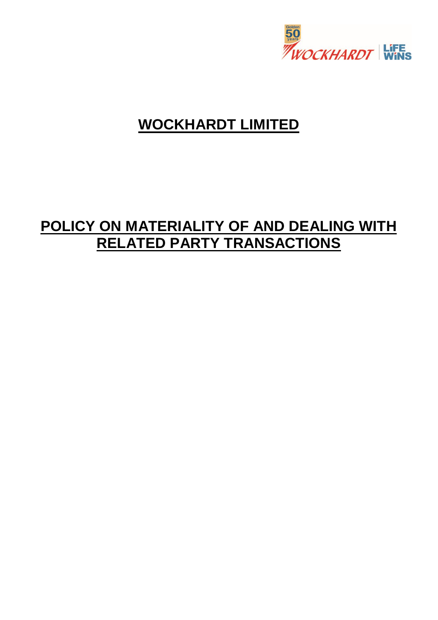

# **WOCKHARDT LIMITED**

# **POLICY ON MATERIALITY OF AND DEALING WITH RELATED PARTY TRANSACTIONS**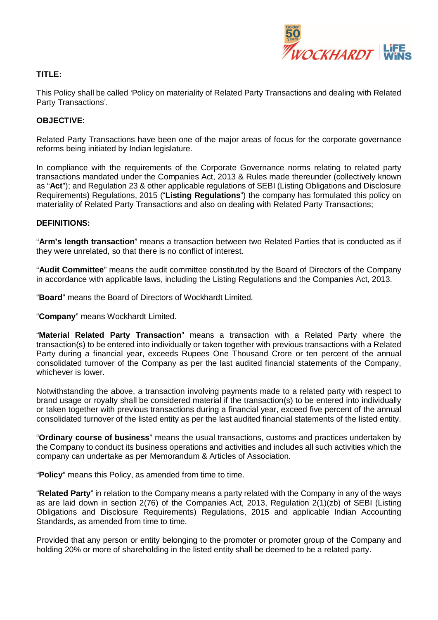

## **TITLE:**

This Policy shall be called 'Policy on materiality of Related Party Transactions and dealing with Related Party Transactions'.

### **OBJECTIVE:**

Related Party Transactions have been one of the major areas of focus for the corporate governance reforms being initiated by Indian legislature.

In compliance with the requirements of the Corporate Governance norms relating to related party transactions mandated under the Companies Act, 2013 & Rules made thereunder (collectively known as "**Act**"); and Regulation 23 & other applicable regulations of SEBI (Listing Obligations and Disclosure Requirements) Regulations, 2015 ("**Listing Regulations**") the company has formulated this policy on materiality of Related Party Transactions and also on dealing with Related Party Transactions;

### **DEFINITIONS:**

"**Arm's length transaction**" means a transaction between two Related Parties that is conducted as if they were unrelated, so that there is no conflict of interest.

"**Audit Committee**" means the audit committee constituted by the Board of Directors of the Company in accordance with applicable laws, including the Listing Regulations and the Companies Act, 2013.

"**Board**" means the Board of Directors of Wockhardt Limited.

"**Company**" means Wockhardt Limited.

"**Material Related Party Transaction**" means a transaction with a Related Party where the transaction(s) to be entered into individually or taken together with previous transactions with a Related Party during a financial year, exceeds Rupees One Thousand Crore or ten percent of the annual consolidated turnover of the Company as per the last audited financial statements of the Company, whichever is lower.

Notwithstanding the above, a transaction involving payments made to a related party with respect to brand usage or royalty shall be considered material if the transaction(s) to be entered into individually or taken together with previous transactions during a financial year, exceed five percent of the annual consolidated turnover of the listed entity as per the last audited financial statements of the listed entity.

"**Ordinary course of business**" means the usual transactions, customs and practices undertaken by the Company to conduct its business operations and activities and includes all such activities which the company can undertake as per Memorandum & Articles of Association.

"**Policy**" means this Policy, as amended from time to time.

"**Related Party**" in relation to the Company means a party related with the Company in any of the ways as are laid down in section 2(76) of the Companies Act, 2013, Regulation 2(1)(zb) of SEBI (Listing Obligations and Disclosure Requirements) Regulations, 2015 and applicable Indian Accounting Standards, as amended from time to time.

Provided that any person or entity belonging to the promoter or promoter group of the Company and holding 20% or more of shareholding in the listed entity shall be deemed to be a related party.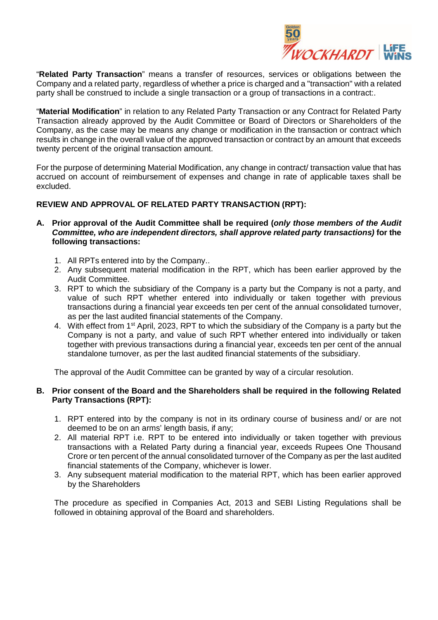

"**Related Party Transaction**" means a transfer of resources, services or obligations between the Company and a related party, regardless of whether a price is charged and a "transaction" with a related party shall be construed to include a single transaction or a group of transactions in a contract:.

"**Material Modification**" in relation to any Related Party Transaction or any Contract for Related Party Transaction already approved by the Audit Committee or Board of Directors or Shareholders of the Company, as the case may be means any change or modification in the transaction or contract which results in change in the overall value of the approved transaction or contract by an amount that exceeds twenty percent of the original transaction amount.

For the purpose of determining Material Modification, any change in contract/ transaction value that has accrued on account of reimbursement of expenses and change in rate of applicable taxes shall be excluded.

## **REVIEW AND APPROVAL OF RELATED PARTY TRANSACTION (RPT):**

- **A. Prior approval of the Audit Committee shall be required (***only those members of the Audit Committee, who are independent directors, shall approve related party transactions)* **for the following transactions:**
	- 1. All RPTs entered into by the Company..
	- 2. Any subsequent material modification in the RPT, which has been earlier approved by the Audit Committee.
	- 3. RPT to which the subsidiary of the Company is a party but the Company is not a party, and value of such RPT whether entered into individually or taken together with previous transactions during a financial year exceeds ten per cent of the annual consolidated turnover, as per the last audited financial statements of the Company.
	- 4. With effect from 1<sup>st</sup> April, 2023, RPT to which the subsidiary of the Company is a party but the Company is not a party, and value of such RPT whether entered into individually or taken together with previous transactions during a financial year, exceeds ten per cent of the annual standalone turnover, as per the last audited financial statements of the subsidiary.

The approval of the Audit Committee can be granted by way of a circular resolution.

#### **B. Prior consent of the Board and the Shareholders shall be required in the following Related Party Transactions (RPT):**

- 1. RPT entered into by the company is not in its ordinary course of business and/ or are not deemed to be on an arms' length basis, if any;
- 2. All material RPT i.e. RPT to be entered into individually or taken together with previous transactions with a Related Party during a financial year, exceeds Rupees One Thousand Crore or ten percent of the annual consolidated turnover of the Company as per the last audited financial statements of the Company, whichever is lower.
- 3. Any subsequent material modification to the material RPT, which has been earlier approved by the Shareholders

The procedure as specified in Companies Act, 2013 and SEBI Listing Regulations shall be followed in obtaining approval of the Board and shareholders.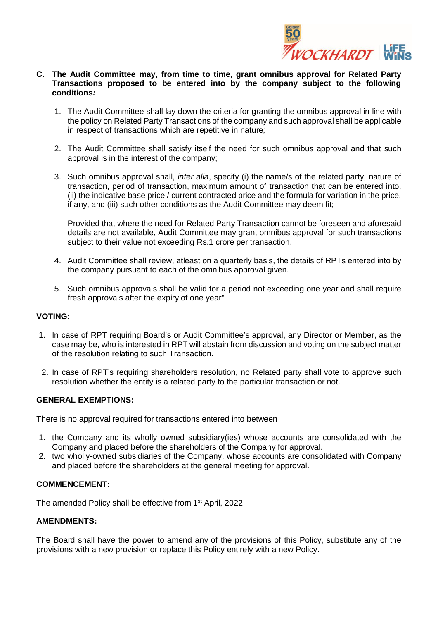

#### **C. The Audit Committee may, from time to time, grant omnibus approval for Related Party Transactions proposed to be entered into by the company subject to the following conditions***:*

- 1. The Audit Committee shall lay down the criteria for granting the omnibus approval in line with the policy on Related Party Transactions of the company and such approval shall be applicable in respect of transactions which are repetitive in nature*;*
- 2. The Audit Committee shall satisfy itself the need for such omnibus approval and that such approval is in the interest of the company;
- 3. Such omnibus approval shall, *inter alia*, specify (i) the name/s of the related party, nature of transaction, period of transaction, maximum amount of transaction that can be entered into, (ii) the indicative base price / current contracted price and the formula for variation in the price, if any, and (iii) such other conditions as the Audit Committee may deem fit;

Provided that where the need for Related Party Transaction cannot be foreseen and aforesaid details are not available, Audit Committee may grant omnibus approval for such transactions subject to their value not exceeding Rs.1 crore per transaction.

- 4. Audit Committee shall review, atleast on a quarterly basis, the details of RPTs entered into by the company pursuant to each of the omnibus approval given.
- 5. Such omnibus approvals shall be valid for a period not exceeding one year and shall require fresh approvals after the expiry of one year"

#### **VOTING:**

- 1. In case of RPT requiring Board's or Audit Committee's approval, any Director or Member, as the case may be, who is interested in RPT will abstain from discussion and voting on the subject matter of the resolution relating to such Transaction.
- 2. In case of RPT's requiring shareholders resolution, no Related party shall vote to approve such resolution whether the entity is a related party to the particular transaction or not.

#### **GENERAL EXEMPTIONS:**

There is no approval required for transactions entered into between

- 1. the Company and its wholly owned subsidiary(ies) whose accounts are consolidated with the Company and placed before the shareholders of the Company for approval.
- 2. two wholly-owned subsidiaries of the Company, whose accounts are consolidated with Company and placed before the shareholders at the general meeting for approval.

#### **COMMENCEMENT:**

The amended Policy shall be effective from 1<sup>st</sup> April, 2022.

#### **AMENDMENTS:**

The Board shall have the power to amend any of the provisions of this Policy, substitute any of the provisions with a new provision or replace this Policy entirely with a new Policy.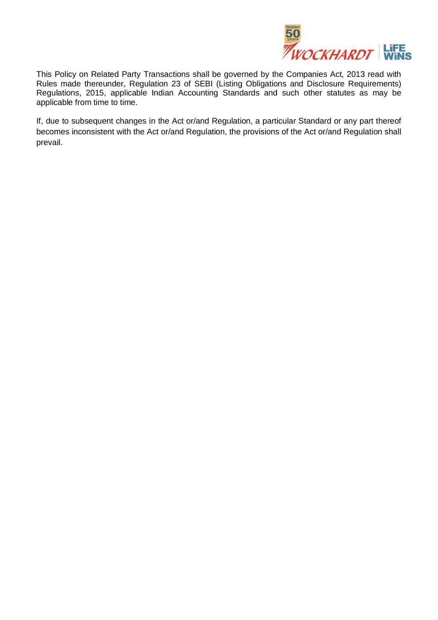

This Policy on Related Party Transactions shall be governed by the Companies Act, 2013 read with Rules made thereunder, Regulation 23 of SEBI (Listing Obligations and Disclosure Requirements) Regulations, 2015, applicable Indian Accounting Standards and such other statutes as may be applicable from time to time.

If, due to subsequent changes in the Act or/and Regulation, a particular Standard or any part thereof becomes inconsistent with the Act or/and Regulation, the provisions of the Act or/and Regulation shall prevail.